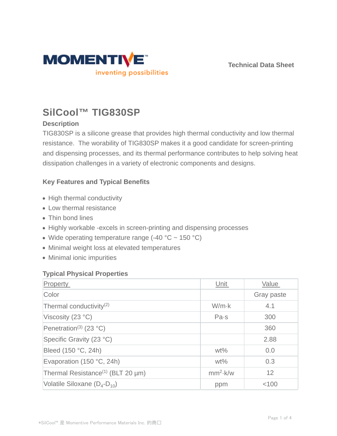

**Technical Data Sheet**

# **SilCool™ TIG830SP**

# **Description**

TIG830SP is a silicone grease that provides high thermal conductivity and low thermal resistance. The worability of TIG830SP makes it a good candidate for screen-printing and dispensing processes, and its thermal performance contributes to help solving heat dissipation challenges in a variety of electronic components and designs.

## **Key Features and Typical Benefits**

- High thermal conductivity
- Low thermal resistance
- Thin bond lines
- Highly workable -excels in screen-printing and dispensing processes
- Wide operating temperature range  $(-40 °C \sim 150 °C)$
- Minimal weight loss at elevated temperatures
- Minimal ionic impurities

## **Typical Physical Properties**

| Property                                      | Unit          | Value      |
|-----------------------------------------------|---------------|------------|
| Color                                         |               | Gray paste |
| Thermal conductivity <sup>(2)</sup>           | $W/m \cdot k$ | 4.1        |
| Viscosity (23 °C)                             | Pa·s          | 300        |
| Penetration <sup>(3)</sup> (23 °C)            |               | 360        |
| Specific Gravity (23 °C)                      |               | 2.88       |
| Bleed (150 °C, 24h)                           | $wt\%$        | 0.0        |
| Evaporation (150 °C, 24h)                     | $wt\%$        | 0.3        |
| Thermal Resistance <sup>(1)</sup> (BLT 20 µm) | $mm2$ k/w     | 12         |
| Volatile Siloxane $(D_4-D_{10})$              | ppm           | < 100      |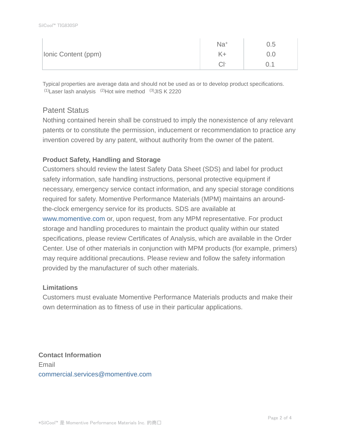|                     | Na <sup>+</sup> | 0.5 |
|---------------------|-----------------|-----|
| Ionic Content (ppm) |                 | J.O |
|                     | $\cap$ 1-       | ◡.  |

Typical properties are average data and should not be used as or to develop product specifications.  $(1)$ Laser lash analysis  $(2)$ Hot wire method  $(3)$ JIS K 2220

# Patent Status

Nothing contained herein shall be construed to imply the nonexistence of any relevant patents or to constitute the permission, inducement or recommendation to practice any invention covered by any patent, without authority from the owner of the patent.

## **Product Safety, Handling and Storage**

Customers should review the latest Safety Data Sheet (SDS) and label for product safety information, safe handling instructions, personal protective equipment if necessary, emergency service contact information, and any special storage conditions required for safety. Momentive Performance Materials (MPM) maintains an aroundthe-clock emergency service for its products. SDS are available at www.momentive.com or, upon request, from any MPM representative. For product storage and handling procedures to maintain the product quality within our stated specifications, please review Certificates of Analysis, which are available in the Order Center. Use of other materials in conjunction with MPM products (for example, primers) may require additional precautions. Please review and follow the safety information provided by the manufacturer of such other materials.

### **Limitations**

Customers must evaluate Momentive Performance Materials products and make their own determination as to fitness of use in their particular applications.

**Contact Information** Email commercial.services@momentive.com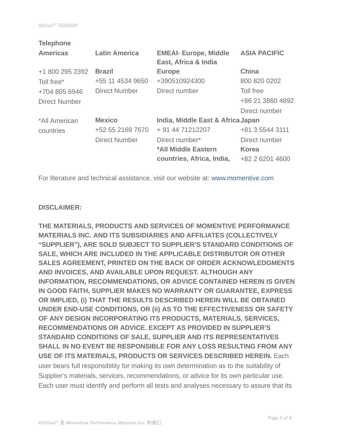| <b>Telephone</b>     |                      |                                   |                     |
|----------------------|----------------------|-----------------------------------|---------------------|
| <b>Americas</b>      | <b>Latin America</b> | <b>EMEAI- Europe, Middle</b>      | <b>ASIA PACIFIC</b> |
|                      |                      | East, Africa & India              |                     |
| +1 800 295 2392      | <b>Brazil</b>        | <b>Europe</b>                     | <b>China</b>        |
| Toll free*           | +55 11 4534 9650     | +390510924300                     | 800 820 0202        |
| +704 805 6946        | <b>Direct Number</b> | Direct number                     | Toll free           |
| <b>Direct Number</b> |                      |                                   | +86 21 3860 4892    |
|                      |                      |                                   | Direct number       |
| *All American        | <b>Mexico</b>        | India, Middle East & Africa Japan |                     |
| countries            | +52 55 2169 7670     | + 91 44 71212207                  | +81 3 5544 3111     |
|                      | <b>Direct Number</b> | Direct number*                    | Direct number       |
|                      |                      | *All Middle Eastern               | <b>Korea</b>        |
|                      |                      | countries, Africa, India,         | +82 2 6201 4600     |
|                      |                      |                                   |                     |

For literature and technical assistance, visit our website at: www.momentive.com

### **DISCLAIMER:**

**THE MATERIALS, PRODUCTS AND SERVICES OF MOMENTIVE PERFORMANCE MATERIALS INC. AND ITS SUBSIDIARIES AND AFFILIATES (COLLECTIVELY "SUPPLIER"), ARE SOLD SUBJECT TO SUPPLIER'S STANDARD CONDITIONS OF SALE, WHICH ARE INCLUDED IN THE APPLICABLE DISTRIBUTOR OR OTHER SALES AGREEMENT, PRINTED ON THE BACK OF ORDER ACKNOWLEDGMENTS AND INVOICES, AND AVAILABLE UPON REQUEST. ALTHOUGH ANY INFORMATION, RECOMMENDATIONS, OR ADVICE CONTAINED HEREIN IS GIVEN IN GOOD FAITH, SUPPLIER MAKES NO WARRANTY OR GUARANTEE, EXPRESS OR IMPLIED, (i) THAT THE RESULTS DESCRIBED HEREIN WILL BE OBTAINED UNDER END-USE CONDITIONS, OR (ii) AS TO THE EFFECTIVENESS OR SAFETY OF ANY DESIGN INCORPORATING ITS PRODUCTS, MATERIALS, SERVICES, RECOMMENDATIONS OR ADVICE. EXCEPT AS PROVIDED IN SUPPLIER'S STANDARD CONDITIONS OF SALE, SUPPLIER AND ITS REPRESENTATIVES SHALL IN NO EVENT BE RESPONSIBLE FOR ANY LOSS RESULTING FROM ANY USE OF ITS MATERIALS, PRODUCTS OR SERVICES DESCRIBED HEREIN.** Each user bears full responsibility for making its own determination as to the suitability of Supplier's materials, services, recommendations, or advice for its own particular use. Each user must identify and perform all tests and analyses necessary to assure that its